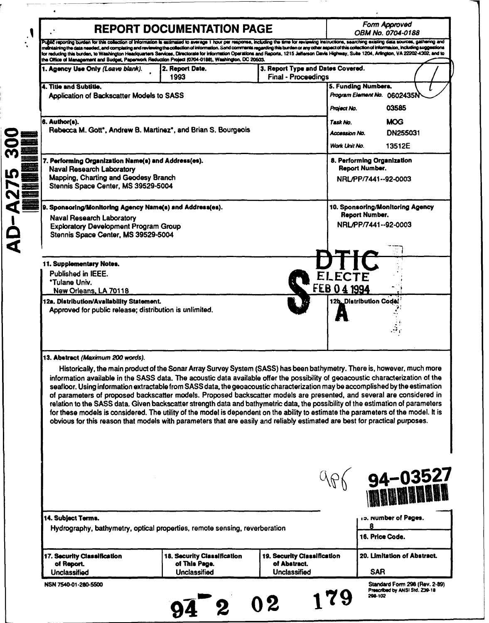|                                                                                                                                                                                                                                                                                                                                                                                                            | <b>REPORT DOCUMENTATION PAGE</b>             |                                             |                                   | Form Approved                                                   |
|------------------------------------------------------------------------------------------------------------------------------------------------------------------------------------------------------------------------------------------------------------------------------------------------------------------------------------------------------------------------------------------------------------|----------------------------------------------|---------------------------------------------|-----------------------------------|-----------------------------------------------------------------|
| Public reporting burden for this collection of Information is estimated to average 1 hour per response, including the time for reviewing instructions, searching existing data sources, gathering and                                                                                                                                                                                                      |                                              |                                             |                                   | OBM No. 0704-0188                                               |
| mithtaining the data needed, and completing and reviewing the collection of information. Send comments regarding this burden or any other aspect of this collection of information, including suggestions<br>for reducing this burden, to Washington Headquarters Services, Directorate for Information Operations and Reports, 1215 Jefferson Davis Highway, Suite 1204, Arlington, VA 22202-4302, and to |                                              |                                             |                                   |                                                                 |
| the Office of Management and Budget, Paperwork Reduction Project (0704-0188), Washington, DC 20503.                                                                                                                                                                                                                                                                                                        |                                              |                                             |                                   |                                                                 |
| 1. Agency Use Only (Leave blank).                                                                                                                                                                                                                                                                                                                                                                          | 2. Report Date.<br>1993                      | <b>Final - Proceedings</b>                  | 3. Report Type and Dates Covered. |                                                                 |
| 4. Title and Subtitle.                                                                                                                                                                                                                                                                                                                                                                                     |                                              |                                             | 5. Funding Numbers.               |                                                                 |
| Application of Backscatter Models to SASS                                                                                                                                                                                                                                                                                                                                                                  |                                              |                                             |                                   | Program Element No. 0602435N                                    |
|                                                                                                                                                                                                                                                                                                                                                                                                            |                                              |                                             | Project No.                       | 03585                                                           |
| 6. Author(s).                                                                                                                                                                                                                                                                                                                                                                                              |                                              |                                             | Task No.                          | <b>MOG</b>                                                      |
| Rebecca M. Gott*, Andrew B. Martinez*, and Brian S. Bourgeois                                                                                                                                                                                                                                                                                                                                              |                                              |                                             | Accession No.                     | DN255031                                                        |
|                                                                                                                                                                                                                                                                                                                                                                                                            |                                              |                                             | Work Unit No.                     | 13512E                                                          |
|                                                                                                                                                                                                                                                                                                                                                                                                            |                                              |                                             |                                   |                                                                 |
| 7. Performing Organization Name(s) and Address(es).<br><b>Naval Research Laboratory</b>                                                                                                                                                                                                                                                                                                                    |                                              |                                             | Report Number.                    | 8. Performing Organization                                      |
| Mapping, Charting and Geodesy Branch                                                                                                                                                                                                                                                                                                                                                                       |                                              |                                             |                                   | NRL/PP/7441--92-0003                                            |
| Stennis Space Center, MS 39529-5004                                                                                                                                                                                                                                                                                                                                                                        |                                              |                                             |                                   |                                                                 |
|                                                                                                                                                                                                                                                                                                                                                                                                            |                                              |                                             |                                   |                                                                 |
| 9. Sponsoring/Monitoring Agency Name(s) and Address(es).                                                                                                                                                                                                                                                                                                                                                   |                                              |                                             |                                   | 10. Sponsoring/Monitoring Agency<br><b>Report Number.</b>       |
| <b>Naval Research Laboratory</b><br><b>Exploratory Development Program Group</b>                                                                                                                                                                                                                                                                                                                           |                                              |                                             |                                   | NRL/PP/7441--92-0003                                            |
| Stennis Space Center, MS 39529-5004                                                                                                                                                                                                                                                                                                                                                                        |                                              |                                             |                                   |                                                                 |
|                                                                                                                                                                                                                                                                                                                                                                                                            |                                              |                                             |                                   |                                                                 |
| 11. Supplementary Notes.                                                                                                                                                                                                                                                                                                                                                                                   |                                              |                                             |                                   |                                                                 |
| Published in IEEE.                                                                                                                                                                                                                                                                                                                                                                                         |                                              |                                             |                                   |                                                                 |
| <b>*Tulane Univ.</b>                                                                                                                                                                                                                                                                                                                                                                                       |                                              |                                             |                                   |                                                                 |
| New Orleans, LA 70118                                                                                                                                                                                                                                                                                                                                                                                      |                                              |                                             | FEB 04 1994                       |                                                                 |
| 12a. Distribution/Availability Statement.<br>Approved for public release; distribution is unlimited.                                                                                                                                                                                                                                                                                                       |                                              |                                             | 12b. Distribution Code            |                                                                 |
|                                                                                                                                                                                                                                                                                                                                                                                                            |                                              |                                             |                                   |                                                                 |
|                                                                                                                                                                                                                                                                                                                                                                                                            |                                              |                                             |                                   |                                                                 |
|                                                                                                                                                                                                                                                                                                                                                                                                            |                                              |                                             |                                   |                                                                 |
|                                                                                                                                                                                                                                                                                                                                                                                                            |                                              |                                             |                                   |                                                                 |
|                                                                                                                                                                                                                                                                                                                                                                                                            |                                              |                                             |                                   |                                                                 |
|                                                                                                                                                                                                                                                                                                                                                                                                            |                                              |                                             |                                   |                                                                 |
| Historically, the main product of the Sonar Array Survey System (SASS) has been bathymetry. There is, however, much more<br>information available in the SASS data. The acoustic data available offer the possibility of geoacoustic characterization of the                                                                                                                                               |                                              |                                             |                                   |                                                                 |
| seafloor. Using information extractable from SASS data, the geoacoustic characterization may be accomplished by the estimation                                                                                                                                                                                                                                                                             |                                              |                                             |                                   |                                                                 |
| of parameters of proposed backscatter models. Proposed backscatter models are presented, and several are considered in                                                                                                                                                                                                                                                                                     |                                              |                                             |                                   |                                                                 |
| 13. Abstract (Maximum 200 words).<br>relation to the SASS data. Given backscatter strength data and bathymetric data, the possibility of the estimation of parameters<br>for these models is considered. The utility of the model is dependent on the ability to estimate the parameters of the model. It is                                                                                               |                                              |                                             |                                   |                                                                 |
| obvious for this reason that models with parameters that are easily and reliably estimated are best for practical purposes.                                                                                                                                                                                                                                                                                |                                              |                                             |                                   |                                                                 |
|                                                                                                                                                                                                                                                                                                                                                                                                            |                                              |                                             |                                   |                                                                 |
|                                                                                                                                                                                                                                                                                                                                                                                                            |                                              |                                             |                                   |                                                                 |
|                                                                                                                                                                                                                                                                                                                                                                                                            |                                              |                                             |                                   |                                                                 |
|                                                                                                                                                                                                                                                                                                                                                                                                            |                                              |                                             |                                   |                                                                 |
|                                                                                                                                                                                                                                                                                                                                                                                                            |                                              |                                             |                                   |                                                                 |
|                                                                                                                                                                                                                                                                                                                                                                                                            |                                              |                                             |                                   |                                                                 |
|                                                                                                                                                                                                                                                                                                                                                                                                            |                                              |                                             |                                   |                                                                 |
| 14. Subject Terms.                                                                                                                                                                                                                                                                                                                                                                                         |                                              |                                             |                                   | <b>94-03527<br/>Minumuni</b><br>10. Number of Pages.<br>8       |
| Hydrography, bathymetry, optical properties, remote sensing, reverberation                                                                                                                                                                                                                                                                                                                                 |                                              |                                             |                                   | 16. Price Code.                                                 |
|                                                                                                                                                                                                                                                                                                                                                                                                            |                                              |                                             |                                   |                                                                 |
| 17. Security Classification<br>of Report.                                                                                                                                                                                                                                                                                                                                                                  | 18. Security Classification<br>of This Page. | 19. Security Classification<br>of Abstract. |                                   | 20. Limitation of Abstract.                                     |
| <b>Unclassified</b>                                                                                                                                                                                                                                                                                                                                                                                        | Unclassified                                 | Unclassified                                |                                   | <b>SAR</b>                                                      |
| NSN 7540-01-280-5500                                                                                                                                                                                                                                                                                                                                                                                       |                                              |                                             |                                   | Standard Form 296 (Rev. 2-89)<br>Prescribed by ANSI Std. 239-18 |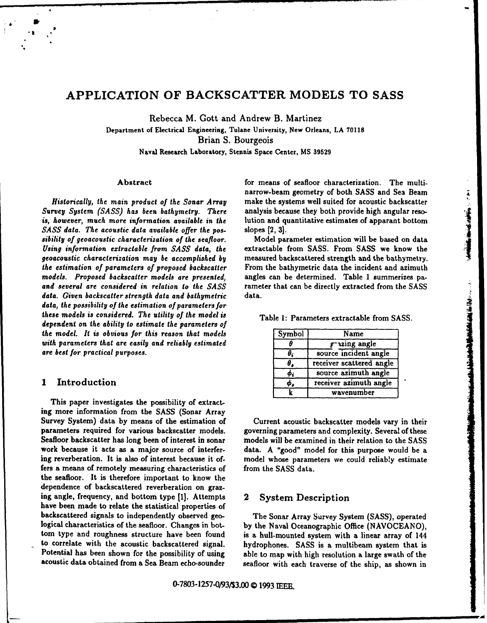## APPLICATION OF BACKSCATTER MODELS TO SASS

Rebecca M. Gott and Andrew B. Martinez

Department of Electrical Engineering, Tulane University, New Orleans, LA 70118 Brian S. Bourgeois

Naval Research Laboratory, Stennis Space Center, MS 39529

Survey System *(SASS) has* been bathymetry. There analysis because they both provide high angular reso*is,* however, much more information available in the lution and quantitative estimates of apparant bottom *Sass data. The main product of the Sonar Array* marrow-beam geometry of both SASS and Sea Beam<br> *Sarvey System (SASS)* has been bathymetry. There analysis because they both provide high angular reso-<br>
is, however, much mo *Using* information extractable from *SASS data, the* extractable from SASS. From SASS we know the geoacoustic characterization may *be accomplished* by measured backscattered strength and the bathymetry. *the estimation of* parameters *of proposed backscatter* From the bathymetric data the incident and azimuth *models. Proposed backscatter models are presented,* angles can be determined. Table 1 summerizes pa*and several are considered* in relation *to the SASS* rameter that can be directly extracted from the SASS data. Given *backscatter strength data* and bathymetric data. *data, the possibility of the* estimation *of parameters for* these models *is considered.* The utility *of the model* is Table 1: Parameters extractable from SASS. dependent on the ability *to estimate the parameters of* the model. It is obvious for this reason that models with parameters that are easily and reliably estimated are best for practical purposes.

## 1 Introduction

This paper investigates the possibility of extracting more information from the SASS (Sonar Array Survey System) data by means of the estimation of Current acoustic backscatter models vary in their parameters required for various backscatter models, governing parameters and complexity. Several of these Seafloor backscatter has long been of interest in sonar models will be examined in their relation to the SASS work because it acts as a major source of interfer- data. A "good" model for this purpose would be a ing reverberation. It is also of interest because it of- model whose parameters we could reliab!y estimate fers a means of remotely measuring characteristics of from the SASS data. the seafloor. It is therefore important to know the dependence of backscattered reverberation on grazing angle, frequency, and bottom type **[1].** Attempts 2 System Description have been made to relate the statistical properties of backscattered signals to independently observed geo- The Sonar Array Survey System (SASS), operated logical characteristics of the seafloor. Changes in bot-<br>by the Naval Oceanographic Office (NAVOCEANO), tom type and roughness structure have been found is a hull-mounted system with a linear array of 144 to correlate with the acoustic backscattered signal. hydrophones. SASS is a multibeam system that is Potential has been shown for the possibility of using able to map with high resolution a large swath of the

Abstract **for means of seafloor characterization**. The multinarrow-beam geometry of both SASS and Sea Beam *Historically, the* main product *of the Sonar* Array make the systems well suited for acoustic backscatter

| Symbol     | Name                     |
|------------|--------------------------|
|            | grazing angle            |
| θ,         | source incident angle    |
| $\theta$ , | receiver scattered angle |
| Φi         | source azimuth angle     |
| ø,         | receiver azimuth angle   |
|            | wavenumber               |

acoustic data obtained from a Sea Beam echo-sounder seafloor with each traverse of the ship, as shown in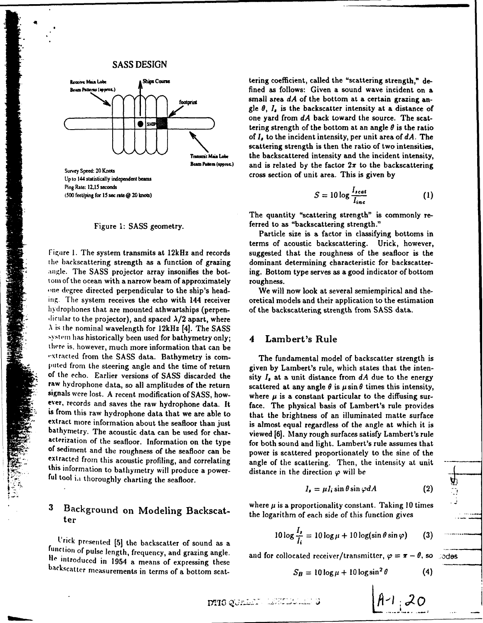### SASS DESIGN



Ping Rate: **12.15** seconds **s. 500 feet/ping for 15 sec rate @ 20 knots)** 

the backscattering strength as a function of grazing dominant determining characteristic for backscatter-<br>
angle. The SASS projector array insonifies the bot- ing. Bottom type serves as a good indicator of bottom tom of the ocean with a narrow beam of approximately roughness.<br>The degree directed perpendicular to the ship's head- We will now look at several semiempirical and thehydrophones that are mounted athwartships (perpen- of the backscattering strength from SASS data. ...<br>dicular to the projector), and spaced  $\lambda/2$  apart, where  $\lambda$  is the nominal wavelength for 12kHz [4]. The SASS system has historically been used for bathymetry only; 4 Lambert's Rule there is, however, much more information that can be extracted from the SASS data. Bathymetry is com-<br>The fundamental model of backscatter strength is acterization of the seafloor. Information on the type for both sound and light. Lambert's rule assumes that<br>of sediment and the roughness of the seafloor can be power is scattered proportionately to the sine of the<br>extrac ful tool in thoroughly charting the seafloor. Suppose the unit is in the direction  $\varphi$  will

# 3

function ['rick of presented pulse length, **[5]** the frequency, backscatter of sound as a *To* **<sup>=</sup>** and grazing angle. and for collocated receiver/transmitter, **9** = r - *0.* so od9s function of pulse length, frequency, and grazing angle.<br>He introduced in 1954 a means of expressing these backscatter measurements in terms of a bottom scat-

Ships Course **Ships Course** tering coefficient, called the "scattering strength," de-**Beam Patterns (approx.) f p fined** as follows: Given a sound wave incident on a footorint small area  $dA$  of the bottom at a certain grazing angle  $\theta$ ,  $I_a$  is the backscatter intensity at a distance of  $S<sub>10</sub>$  One yard from  $dA$  back toward the source. The scattering strength of the bottom at an angle  $\theta$  is the ratio of I, to the incident intensity, per unit area of *dA.* The scattering strength is then the ratio of two intensities, the backscattered intensity and the incident intensity, Survey Speed: 20 Knots<br>Survey Speed: 20 Knots

$$
S = 10 \log \frac{I_{scat}}{I_{inc}} \tag{1}
$$

The quantity "scattering strength" is commonly re-Figure 1: SASS geometry. **Figure 1: SASS** geometry.

Particle size is a factor in classifying bottoms in terms of acoustic backscattering. Urick, however,<br>Figure 1. The system transmits at 12kHz and records suggested that the roughness of the seafloor is the

ing. The system receives the echo with 144 receiver oretical models and their application to the estimation

puted from the steering angle and the time of return given by Lambert's rule, which states that the inten-<br>of the echo. Earlier versions of SASS discarded the sity  $I_s$  at a unit distance from dA due to the energy raw hydrophone data, so all amplitudes of the return scattered at any angle  $\theta$  is  $\mu \sin \theta$  times this intensity, signals were lost. A recent modification of SASS, how-<br>signals were lost. A recent modification of SASS, h where  $\mu$  is a constant particular to the diffusing sur-<br>ever, records and saves the raw hydrophone data. It<br>is from this raw hydrophone data that we are able to<br>extract more information about the seafloor than just<br>bath

$$
I_{\ell} = \mu I_{i} \sin \theta \sin \varphi dA
$$
 (2)

Background on Modeling Backscat-<br>the logarithm of each side of this function gives<br>ter

$$
10\log\frac{I_s}{I_i} = 10\log\mu + 10\log(\sin\theta\sin\varphi) \qquad (3)
$$

and for collocated receiver/transmitter,  $\varphi = \pi - \theta$ , so **Jodes** 

$$
S_B = 10 \log \mu + 10 \log \sin^2 \theta \tag{4}
$$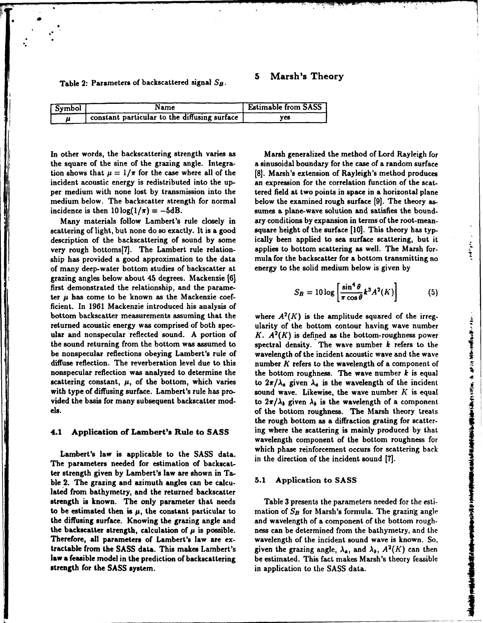## **5** Marsh's Theory

Table 2: Parameters of backscattered signal *S8.*

| . Symbol . | Name                                          | <b>Estimable from SASS</b> |
|------------|-----------------------------------------------|----------------------------|
|            | Constant particular to the diffusing surface. | ves                        |

In other words, the backscattering strength varies as Marsh generalized the method of Lord Rayleigh for the square of the sine of the grazing angle. Integra- a sinusoidal boundary for the case of a random surface tion shows that  $\mu = 1/\pi$  for the case where all of the [8]. Marsh's extension of Rayleigh's method produces incident acoustic energy is redistributed into the up- an expression for the correlation function of the scatper medium with none lost by transmission into the tered field at two points in space in a horizontal plane medium below. The backscatter strength for normal below the examined rough surface [9]. The theory as-

scattering of light, but none do so exactly. It is a good square height of the surface [10]. This theory has typdescription of the backscattering of sound by some ically been applied to sea surface scattering, but it very rough bottoms[7]. The Lambert rule relation- applies to bottom scattering as well. The Marsh forship has provided a good approximation to the data mula for the backscatter for a bottom transmitting no of many deep-water bottom studies of backscatter at energy to the solid medium below is given by grazing angles below about 45 degrees. Mackenzie [6] first demonstrated the relationship, and the parameter  $\mu$  has come to be known as the Mackenzie coefficient. In 1961 Mackenzie introduced his analysis of bottom backscatter measurements assuming that the where  $A^2(K)$  is the amplitude squared of the irregreturned acoustic energy was comprised of both spec- ularity of the bottom contour having wave number ular and nonspecular reflected sound. A portion of *K. A2 (K)* is defined as the bottom-roughness power the sound returning from the bottom was assumed to spectral density. The wave number *k* refers to the be nonspecular reflections obeying Lambert's rule of wavelength of the incident acoustic wave and the wave diffuse reflection. The reverberation level due to this number  $K$  refers to the wavelength of a component of nonspecular reflection was analyzed to determine the the bottom roughness. The wave number  $k$  is equal scattering constant,  $\mu$ , of the bottom, which varies to  $2\pi/\lambda_a$  given  $\lambda_a$  is the wavelength of the incident with type of diffusing surface. Lambert's rule has pro-<br>sound wave. Likewise, the wave number  $K$  is equal vided the basis for many subsequent backscatter mod-<br>to  $2\pi/\lambda_b$  given  $\lambda_b$  is the wavelength of a component els. of the bottom roughness. The Marsh theory treats

The parameters needed for estimation of backscat-<br>The parameters needed for estimation of backscatter strength given by Lambert's law are shown in Talated from bathymetry, and the returned backscatter strength is known. The only parameter that needs Table **3** presents the parameters needed for the estito be estimated then is  $\mu$ , the constant particular to mation of  $S_B$  for Marsh's formula. The grazing angle the diffusing surface. Knowing the grazing angle and and wavelength of a component of the bottom roughthe backscatter strength, calculation of  $\mu$  is possible. ness can be determined from the bathymetry, and the Therefore, all parameters of Lambert's law are ex-<br>wavelength of the incident sound wave is known. So, tractable from the SASS data. This makes Lambert's given the grazing angle,  $\lambda_a$ , and  $\lambda_b$ ,  $A^2(K)$  can then law a feasible model in the prediction of backscattering be estimated. This fact makes Marsh's theory feasible law a feasible model in the prediction of backscattering be estimated. This fact makes Marsh's theory feasible<br>strength for the SASS system.<br> $\frac{1}{2}$  in application to the SASS data.

incidence is then  $10 \log(1/\pi) = -5dB$ . sumes a plane-wave solution and satisfies the bound-Many materials follow Lambert's rule closely in ary conditions by expansion in terms of the root-mean-

$$
S_B = 10 \log \left[ \frac{\sin^4 \theta}{\pi \cos \theta} k^3 A^2(K) \right] \tag{5}
$$

**Mean** 

the rough bottom as a diffraction grating for scatter-4.1 Application of Lambert's Rule to SASS ing where the scattering is mainly produced by that wavelength component of the bottom roughness for Lambert's law is applicable to the SASS data. which phase reinforcement occurs for scattering back be a may be the search of  $K$ . The state of the state of the result and nonproduction of  $K$ . All  $K$  is defined as the bottom contour having wave number<br>the sound returned acoustic energy was comprised of both species un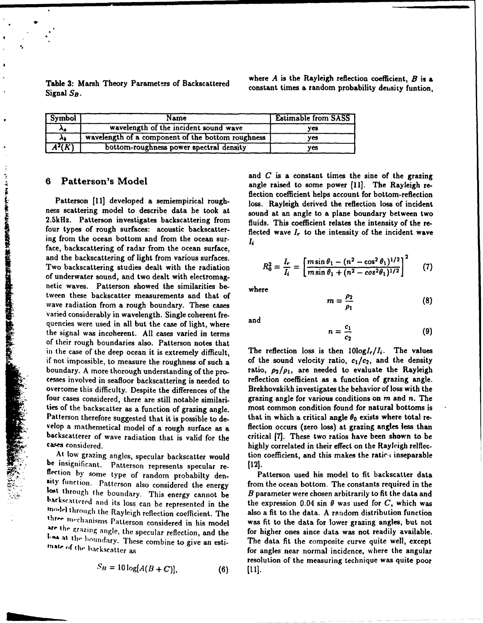Table 3: Marsh Theory Parameters of Backscattered where A is the Rayleigh reflection coefficient, B is a<br>Signal SB.

| <b>Symbol</b>       | Name                                              | <b>Estimable from SASS</b> |
|---------------------|---------------------------------------------------|----------------------------|
| ٨a                  | wavelength of the incident sound wave             | ves                        |
| λı                  | wavelength of a component of the bottom roughness | ves                        |
| $\overline{A^2(K)}$ | bottom-roughness power spectral density           | ves                        |

ness scattering model to describe data he took at sound at an angle to a plane boundary between two<br>2.5kHz. Patterson investigates backscattering from fluids. This coefficient relates the intensity of the re-<br>four types of ing from the ocean bottom and from the ocean sur-Matterson is involved a semiempirical rough<br>
Researching model to describe data he took at<br>
2.5kHz. Patterson investigates backscattering from<br>
four types of rough surfaces: acoustic backscatter-<br>
ing from the ocean bottom Two backscattering studies dealt with the radiation of underwater sound, and two dealt with electromagnetic waves. Patterson showed the similarities be- where tween these backscatter measurements and that of wave radiation from a rough boundary. These cases varied considerably in wavelength. Single coherent frequencies were used in all but the case of light, where and the signal was incoherent. All cases varied in terms of their rough boundaries also. Patterson notes that in the case of the deep ocean it is extremely difficult. The reflection loss is then  $10\log I_r/I_i$ . The values cesses involved in seafloor backscattering is needed to reflection coefficient as a function of grazing angle. overcome this difficulty. Despite the differences of the Brekhovskikh investigates the behavior of loss with the four cases considered, there are still notable similari-<br>grazing angle for various conditions on m and n. The ties of the backscatter as a function of grazing angle. most common condition found for natural bottoms is Patterson therefore suggested that it is possible to de-<br>that in which a critical angle  $\theta_0$  exists where total re-

The cases considered.<br>
At low grazing angles, specular backscatter would<br>
be insignificant. Patterson represents specular re-<br>
dection by some type of random probabilty den-<br>
sty function. Patterson also considered the ene Fost through the boundary. This energy cannot be<br>backscattered and its loss can be represented in the the expression 0.04 sin  $\theta$  was used for  $C$ , which was<br>model through the Rayleigh reflection coefficient. The also a three mechanisms Patterson considered in his model was fit to the data for lower grazing angles, but not are the grazing angle, the specular reflection, and the for higher ones since data was not readily available.

$$
S_B = 10 \log[A(B+C)], \tag{6}
$$

and *C* is a constant times the sine of the grazing and *C* is a constant times the sine of the grazing **6** Patterson's Model **angle raised** to some power [11]. The Rayleigh re-Flection coefficient helps account for bottom-reflection<br>Patterson [11] developed a semiempirical rough-<br>ness scattering model to describe data he took at sound at an angle to a plane boundary between two

$$
R_0^2 = \frac{I_r}{I_i} = \left[ \frac{m \sin \theta_1 - (n^2 - \cos^2 \theta_1)^{1/2}}{m \sin \theta_1 + (n^2 - \cos^2 \theta_1)^{1/2}} \right]^2 \qquad (7)
$$

$$
m=\frac{\rho_2}{\rho_1} \tag{8}
$$

$$
n=\frac{c_1}{c_2} \tag{9}
$$

From the intensity of the sound velocity ratio,  $c_1/c_2$ , and the density<br>
boundary. A more thorough understanding of the pro-<br>
tatio,  $\rho_2/\rho_1$ , are needed to evaluate the Rayleigh<br>
cesses involved in seafloor backscatt velop a mathemetical model of a rough surface as a flection occurs (zero loss) at grazing angles less than backscatterer of wave radiation that is valid for the critical [7]. These two ratios have been shown to be cases co

I'ms at the houndary. These combine to give an esti-<br>I'm at estimate of the hackscatter as for angles near normal incidence, where the angular resolution of the measuring technique was quite poor [11].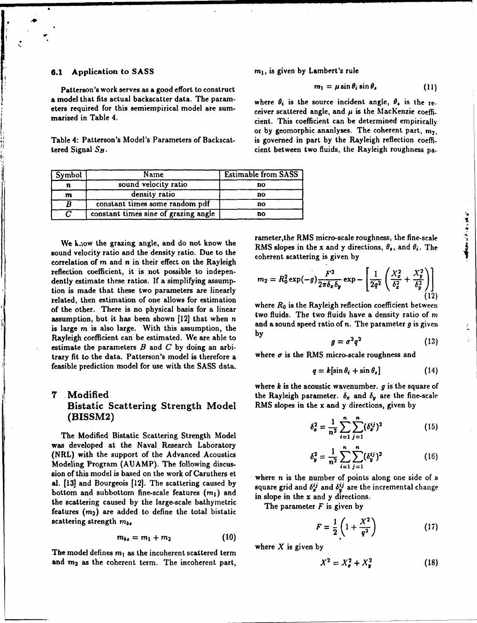Patterson's work serves as a good effort to construct a model that fits actual backscatter data. The param-<br>where  $\theta_i$  is the source incident angle,  $\theta_s$  is the reeters required for this semiempirical model are sum-<br>ceiver scattered angle, and  $\mu$  is the MacKenzie coeffi-

tered Signal  $S_B$ . cient between two fluids, the Rayleigh roughness pa-

| Symbol           | Name                                 | <b>Estimable from SASS</b> |
|------------------|--------------------------------------|----------------------------|
|                  | sound velocity ratio                 | no                         |
| $\boldsymbol{m}$ | density ratio                        | no                         |
|                  | constant times some random pdf       | no                         |
|                  | constant times sine of grazing angle | no                         |

sound velocity ratio and the density ratio. Due to the coherent scattering is given by correlation of  $m$  and  $n$  in their effect on the Rayleigh reflection coefficient, it is not possible to independently estimate these ratios. If a simplifying assumption is made that these two parameters are linearly related, then estimation of one allows for estimation of the other. There is no physical basis for a linear where *R0* is the Rayleigh reflection coefficient between assumption, but it has been shown  $[12]$  that when n two fluids. The two fluids have a density ratio of m is large m is also large. With this assumption, the and a sound speed ratio of n. The parameter  $g$  is given Rayleigh coefficient can be estimated. We are able to by estimate the parameters  $B$  and  $C$  by doing an arbitrary fit to the data. Patterson's model is therefore  $a$  where  $\sigma$  is the RMS micro-scale roughness and feasible prediction model for use with the SASS data.

## **7** Modified the Rayleigh parameter.  $\delta_x$  and  $\delta_y$  are the fine-scale Bistatic Scattering Strength Model RMS slopes in the x and y directions, given by **Distance Deathering Duringen Model 1988** and the the theory of **1988** and the same of the same of the same of the same of the same of the same of the same of the same of the same of the same of the same of the same of t

The Modified Bistatic Scattering Strength Model was developed at the Naval Research Laboratory (NRL) with the support of the Advanced Acoustics Modeling Program (AUAMP). The following discussion of this model is based on the work of Caruthers et where  $n$  is the number of points along one side of a bottom and subbottom fine-scale features  $(m_1)$  and in slope in the x and y directions. the scattering caused by the large-scale bathymetric The parameter  $F$  is given by features  $(m_2)$  are added to define the total bistatic  $\frac{1}{2}$  scattering strength  $m_{b}$ 

$$
m_{bs} = m_1 + m_2 \qquad (10)
$$

The model defines  $m_1$  as the incoherent scattered term and  $m_2$  as the coherent term. The incoherent part,

**6.1** Application to SASS  $m_1$ , is given by Lambert's rule

$$
m_1 = \mu \sin \theta_i \sin \theta_s \qquad (11)
$$

marized in Table 4. Circle 1998 and Figure 2. cient. This coefficient can be determined empirically or by geomorphic ananlyses. The coherent part,  $m_2$ , Table 4: Patterson's Model's Parameters of Backscat- is governed in part by the Rayleigh reflection coeffi-

no<br>
exameter, the RMS micro-scale roughness, the fine-scale<br>
RMS slopes in the x and y directions,  $\theta_s$ , and  $\theta_i$ . The We k.i.ow the grazing angle, and do not know the RMS slopes in the x and y directions,  $\theta_s$ , and  $\theta_i$ . The

$$
m_2 = R_0^2 \exp(-g) \frac{F^2}{2\pi \delta_x \delta_y} \exp - \left[ \frac{1}{2q^2} \left( \frac{X_z^2}{\delta_z^2} + \frac{X_y^2}{\delta_y^2} \right) \right]
$$
(12)

$$
g = \sigma^2 q^2 \tag{13}
$$

$$
q = k[\sin \theta_i + \sin \theta_s]
$$
 (14)

where  $k$  is the acoustic wavenumber.  $g$  is the square of

$$
\delta_x^2 = \frac{1}{n^2} \sum_{i=1}^n \sum_{j=1}^n (\delta_x^{ij})^2
$$
 (15)

$$
\delta_{y}^{2} = \frac{1}{n^{2}} \sum_{i=1}^{n} \sum_{j=1}^{n} (\delta_{y}^{ij})^{2}
$$
 (16)

al. [13] and Bourgeois [12]. The scattering caused by square grid and  $\delta_{ij}^{ij}$  and  $\delta_{ij}^{ij}$  are the incremental change

$$
F = \frac{1}{2} \left( 1 + \frac{X^2}{q^2} \right) \tag{17}
$$

$$
X^2 = X_x^2 + X_y^2 \tag{18}
$$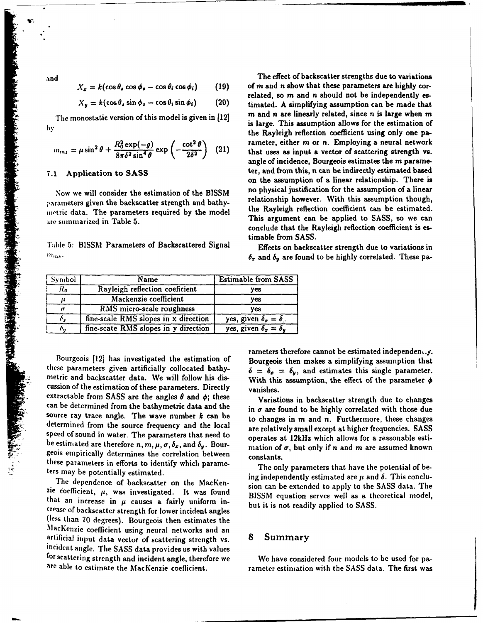شارك كالكافر فترش المناول وسيل المجال مستقراته

$$
X_{x} = k(\cos \theta_{s} \cos \phi_{s} - \cos \theta_{i} \cos \phi_{i})
$$
 (19)

$$
X_{y} = k(\cos \theta_{s} \sin \phi_{s} - \cos \theta_{i} \sin \phi_{i}) \qquad (20)
$$

$$
m_{m,s} = \mu \sin^2 \theta + \frac{R_0^2 \exp(-g)}{8\pi \delta^2 \sin^4 \theta} \exp\left(-\frac{\cot^2 \theta}{2\delta^2}\right) \tag{21}
$$

parameters given the backscatter strength and bathy-<br>matrix data. The parameters required by the model the Rayleigh reflection coefficient can be estimated. inetric data. The parameters required by the model are summarized in Table 5. This argument can be applied to SASS, so we can

timable from SASS.<br>Table 5: BISSM Parameters of Backscattered Signal Effects on backscatter strength due to variations in  $m_{ms}$ .

**31nd** The effect of backscatter strengths due to variations of m and n show that these parameters are highly correlated, so m and n should not be independently estimated. A simplifying assumption can be made that The monostatic version of this model is given in  $[12]$  m and n are linearly related, since n is large when m hv: **includes** tendence of the mondom of the estimation of the estimation of the estimation of the Rayleigh reflection coefficient using only one parameter, either m or n. Employing a neural network that uses as input a vector of scattering strength vs. angle of incidence, Bourgeois estimates the m parame-7.1 Application to SASS ter, and from this, n can be indirectly estimated based on the assumption of a linear relationship. There is Now we will consider the estimation of the BISSM no physical justification for the assumption of a linear<br>relationship however. With this assumption though, conclude that the Rayleigh reflection coefficient is es-

 $\delta_x$  and  $\delta_y$  are found to be highly correlated. These pa-

| <b>Symbol</b> | Name                                 | <b>Estimable from SASS</b>       |
|---------------|--------------------------------------|----------------------------------|
| $R_0$         | Rayleigh reflection coeficient       | ves                              |
|               | Mackenzie coefficient                | ves                              |
|               | RMS micro-scale roughness            | ves                              |
|               | fine-scale RMS slopes in x direction | yes, given $\delta_x = \delta$ , |
|               | fine-scate RMS slopes in y direction | yes, given $\delta_x = \delta_y$ |

metric and backscatter data. We will follow his dis-<br>With this assumption, the effect of the parameter  $\phi$ cussion of the estimation of these parameters. Directly vanishes. extractable from SASS are the angles  $\theta$  and  $\phi$ ; these Variations in backscatter strength due to changes can be determined from the bathymetric data and the in  $\sigma$  are found to be highly correlated with those due source ray trace angle. The wave number  $k$  can be to changes in  $m$  and  $n$ . Furthermore, these changes determined from the source frequency and the local are relatively small except at higher frequencies. SASS cussion of the estimation of these parameters. Directly<br>extractable from SASS are the angles  $\theta$  and  $\phi$ ; these<br>can be determined from the bathymetric data and the<br>source ray trace angle. The wave number  $k$  can be<br>dete geois empirically determines the correlation between stors empirically determines the correlation between constants.<br>these parameters in efforts to identify which parame-

that an increase in  $\mu$  causes a fairly uniform in-<br> $\frac{1}{2}$  but it is not readily applied to SASS. crease of backscatter strength for lower incident angles (less than 70 degrees). Bourgeois then estimates the MacKenzie coefficient using neural networks and an<br>artificial input data vector of scattering strength vs. 8 Summary artificial input data vector of scattering strength vs.<br>incident angle. The SASS data provides us with values for scattering strength and incident angle, therefore we We have considered four models to be used for pa-

Frameters therefore cannot be estimated independently.<br>Bourgeois [12] has investigated the estimation of Bourgeois then makes a simplifying assumption that<br>these parameters given artificially collocated bathy-<br> $\delta = \delta_x = \delta_y$ 

the only parameters that have the potential of between the potential of between the potentially estimated.<br>  $\frac{1}{2}$  ing independently estimated are  $\mu$  and  $\delta$ . This conclu-The dependence of backscatter on the MacKen-<br>zie coefficient,  $\mu$ , was investigated. It was found BISSM equation serves well as a theoretical model,

are able to estimate the MacKenzie coefficient. rarneter estimation with the SASS data. The first was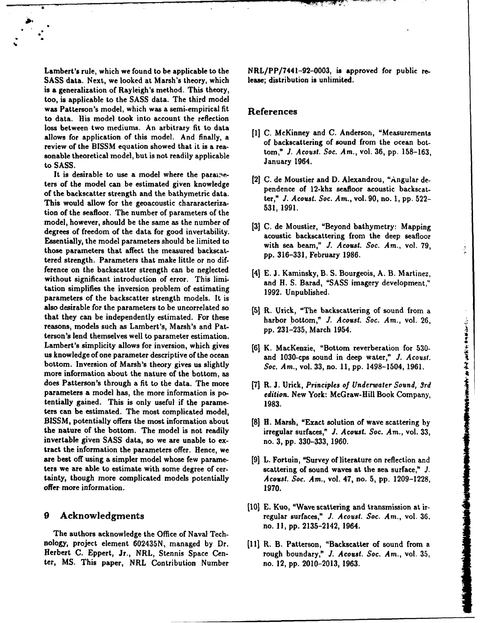SASS data. Next, we looked at Marsh's theory, which lease; distribution is unlimited. is a generalization of Rayleigh's method. This theory, too, is applicable to the SASS data. The third model was Patterson's model, which was a semi-empirical fit References to data. His model took into account the reflection loss between two mediums. An arbitrary fit to data allows for application of this model. And finally, a [1] C. McKinney and C. Anderson, "Measurements<br>of backscattering of sound from the ocean botreview of the BISSM equation showed that it is a rea-<br>tom," J. Acoust. Soc. Am., vol. 36, pp. 158-163, sonable theoretical model, but is not readily applicable tom, *J. Acoust. Soc. Soc. Soc. 36, pp. 1964*. to SASS.

It is desirable to use a model where the parame-<br>
[2] C. de Moustier and D. Alexandrou, "Angular deters of the model can be estimated given knowledge  $\begin{bmatrix} 2 \end{bmatrix}$ C. de modstier and D. Alexandrou, Angular-deof the backscatter strength and the bathymetric data.<br>This would allow for the accessories absorptions. This would allow for the processes in the process of the process of the process of the process of the process of the p This would allow for the geoacoustic chararacteriza- 531, 1991. tion of the seafloor. The number of parameters of the model, however, should be the same as the number of **[3] C.** de Moustier, "Beyond bathymetry: Mapping degrees of freedom of the data for good invertability. acoustic backscattering from the deep seafloor Essentially, the model parameters should be limited to with sea beam," *J. Acoust. Soc.* Am., vol. 79, those parameters that affect the measured backscattered strength. Parameters that make little or no dif-<br>pp. 316-331, February 1986. ference on the backscatter strength can be neglected [4] E. J. Kaminsky, B. S. Bourgeois, A. B. Martinez, without significant introduction of error. This limi-<br>and H. S. Barad, "SASS imagery development," tation simplifies the inversion problem of estimating 1992. Unpublished. parameters of the backscatter strength models. It is also desirable for the parameters to be uncorrelated so **(51** R. Urick, "The backscattering of sound from a that they can be independently estimated. For these harbor bottom," *J. Acoust. Soc. Am.*, vol. 26, reasons, models such as Lambert's, Marsh's and Pat- **pp. 231-235,** March 1954. terson's lend themselves well to parameter estimation. Lambert's simplicity allows for inversion, which gives [6] K. MacKenzie, "Bottom reverberation for 530us knowledge of one parameter descriptive of the ocean and 1030-cps sound in deep water," **J.** Acoust. bottom. Inversion of Marsh's theory gives us slightly *Soc.* Am., vol. 33, no. 11, pp. 1498-1504, 1961. more information about the nature of the bottom, as does Patterson's through a fit to the data. The more [7] R. J. Urick, *Principles of Underwater Sound, 3rd* parameters a model has, the more information is po- *edition.* New York: McGraw-Hill Book Company, tentially gained. This is only useful if the parame- 1983. ters can be estimated. The most complicated model, BISSM, potentially offers the most information about **[8]** H. Marsh, "Exact solution of wave scattering by the nature of the bottom. The model is not readily irregular surfaces," *J. Acoust.* Soc. Am., vol. 33, invertable given SASS data, so we are unable to ex- no. 3, pp. 330-333, 1960. tract the information the parameters offer. Hence, we are best off using a simpler model whose few parame- [9] L. Fortuin, "Survey of literature on reflection and ters we are able to estimate with some degree of cer- scattering of sound waves at the sea surface," *J.* tainty, though more complicated models potentially *Acoust. Soc. Am.,* vol. 47, no. 5, pp. 1209-1228, offer more information. 1970.

The authors acknowledge the Office of Naval Technology, project element 602435N, managed by Dr. [11] R. B. Patterson, "Backscatter of sound from a Herbert C. Eppert, Jr., NRL, Stennis Space Cen- rough boundary," *J. Acoast. Soc.* Am., vol. 35, ter, MS. This paper, NRL Contribution Number no. 12, pp. 2010-2013, 1963.

Lambert's rule, which we found to be applicable to the NRL/PP/7441-92-0003, is approved for public re-

- 
- 
- 
- 
- 
- 

このことはあるか、そのことにあると、そのことをはずるのが、そのことになるので、

- 
- 
- 
- **[101 E.** Kuo, "Wave scattering and transmission at ir-9 Acknowledgments regular surfaces," *J. Acoust. Soc.* Am., vol. 36, no. **I],** pp. 2135-2142, 1964.
	-